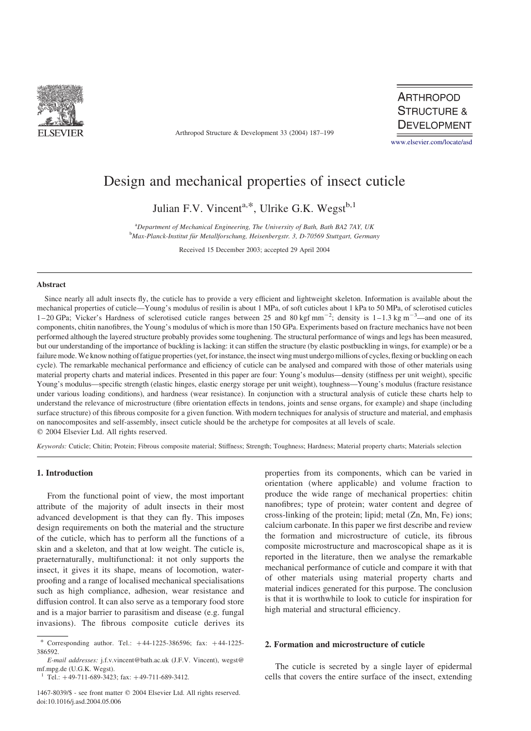

Arthropod Structure & Development 33 (2004) 187–199

**ARTHROPOD STRUCTURE & DEVELOPMENT** 

[www.elsevier.com/locate/asd](http://www.elsevier.com/locate/asd)

# Design and mechanical properties of insect cuticle

Julian F.V. Vincent<sup>a,\*</sup>, Ulrike G.K. Wegst<sup>b,1</sup>

<sup>a</sup>Department of Mechanical Engineering, The University of Bath, Bath BA2 7AY, UK <sup>b</sup>Max-Planck-Institut für Metallforschung, Heisenbergstr. 3, D-70569 Stuttgart, Germany

Received 15 December 2003; accepted 29 April 2004

#### Abstract

Since nearly all adult insects fly, the cuticle has to provide a very efficient and lightweight skeleton. Information is available about the mechanical properties of cuticle—Young's modulus of resilin is about 1 MPa, of soft cuticles about 1 kPa to 50 MPa, of sclerotised cuticles 1-20 GPa; Vicker's Hardness of sclerotised cuticle ranges between 25 and 80 kgf mm<sup>-2</sup>; density is 1-1.3 kg m<sup>-3</sup>-and one of its components, chitin nanofibres, the Young's modulus of which is more than 150 GPa. Experiments based on fracture mechanics have not been performed although the layered structure probably provides some toughening. The structural performance of wings and legs has been measured, but our understanding of the importance of buckling is lacking: it can stiffen the structure (by elastic postbuckling in wings, for example) or be a failure mode.We know nothing of fatigue properties (yet, for instance, the insect wing must undergo millions of cycles, flexing or buckling on each cycle). The remarkable mechanical performance and efficiency of cuticle can be analysed and compared with those of other materials using material property charts and material indices. Presented in this paper are four: Young's modulus—density (stiffness per unit weight), specific Young's modulus—specific strength (elastic hinges, elastic energy storage per unit weight), toughness—Young's modulus (fracture resistance under various loading conditions), and hardness (wear resistance). In conjunction with a structural analysis of cuticle these charts help to understand the relevance of microstructure (fibre orientation effects in tendons, joints and sense organs, for example) and shape (including surface structure) of this fibrous composite for a given function. With modern techniques for analysis of structure and material, and emphasis on nanocomposites and self-assembly, insect cuticle should be the archetype for composites at all levels of scale.  $Q$  2004 Elsevier Ltd. All rights reserved.

Keywords: Cuticle; Chitin; Protein; Fibrous composite material; Stiffness; Strength; Toughness; Hardness; Material property charts; Materials selection

# 1. Introduction

From the functional point of view, the most important attribute of the majority of adult insects in their most advanced development is that they can fly. This imposes design requirements on both the material and the structure of the cuticle, which has to perform all the functions of a skin and a skeleton, and that at low weight. The cuticle is, praeternaturally, multifunctional: it not only supports the insect, it gives it its shape, means of locomotion, waterproofing and a range of localised mechanical specialisations such as high compliance, adhesion, wear resistance and diffusion control. It can also serve as a temporary food store and is a major barrier to parasitism and disease (e.g. fungal invasions). The fibrous composite cuticle derives its

1467-8039/\$ - see front matter q 2004 Elsevier Ltd. All rights reserved. doi:10.1016/j.asd.2004.05.006

properties from its components, which can be varied in orientation (where applicable) and volume fraction to produce the wide range of mechanical properties: chitin nanofibres; type of protein; water content and degree of cross-linking of the protein; lipid; metal (Zn, Mn, Fe) ions; calcium carbonate. In this paper we first describe and review the formation and microstructure of cuticle, its fibrous composite microstructure and macroscopical shape as it is reported in the literature, then we analyse the remarkable mechanical performance of cuticle and compare it with that of other materials using material property charts and material indices generated for this purpose. The conclusion is that it is worthwhile to look to cuticle for inspiration for high material and structural efficiency.

## 2. Formation and microstructure of cuticle

The cuticle is secreted by a single layer of epidermal cells that covers the entire surface of the insect, extending

<sup>\*</sup> Corresponding author. Tel.:  $+44-1225-386596$ ; fax:  $+44-1225-$ 386592.

E-mail addresses: j.f.v.vincent@bath.ac.uk (J.F.V. Vincent), wegst@ mf.mpg.de (U.G.K. Wegst).

Tel.:  $+49-711-689-3423$ ; fax:  $+49-711-689-3412$ .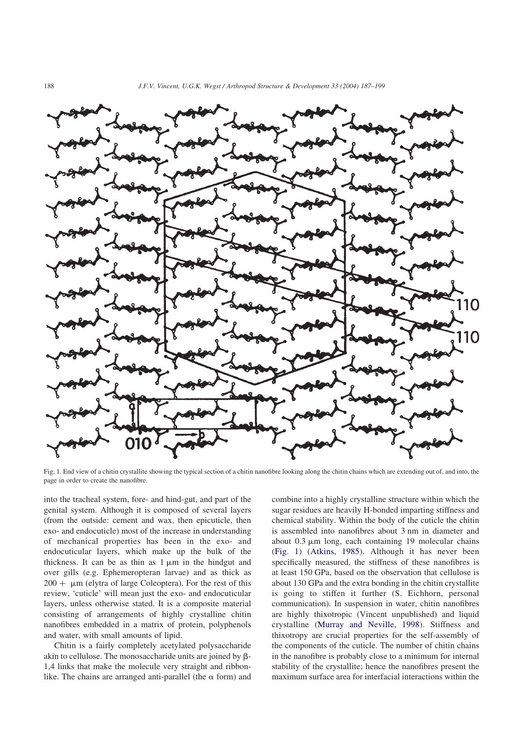

Fig. 1. End view of a chitin crystallite showing the typical section of a chitin nanofibre looking along the chitin chains which are extending out of, and into, the page in order to create the nanofibre.

into the tracheal system, fore- and hind-gut, and part of the genital system. Although it is composed of several layers (from the outside: cement and wax, then epicuticle, then exo- and endocuticle) most of the increase in understanding of mechanical properties has been in the exo- and endocuticular layers, which make up the bulk of the thickness. It can be as thin as  $1 \mu m$  in the hindgut and over gills (e.g. Ephemeropteran larvae) and as thick as  $200 + \mu m$  (elytra of large Coleoptera). For the rest of this review, 'cuticle' will mean just the exo- and endocuticular layers, unless otherwise stated. It is a composite material consisting of arrangements of highly crystalline chitin nanofibres embedded in a matrix of protein, polyphenols and water, with small amounts of lipid.

Chitin is a fairly completely acetylated polysaccharide akin to cellulose. The monosaccharide units are joined by b-1,4 links that make the molecule very straight and ribbonlike. The chains are arranged anti-parallel (the  $\alpha$  form) and combine into a highly crystalline structure within which the sugar residues are heavily H-bonded imparting stiffness and chemical stability. Within the body of the cuticle the chitin is assembled into nanofibres about 3 nm in diameter and about  $0.3 \mu m$  long, each containing 19 molecular chains (Fig. 1) ([Atkins, 1985\)](#page-11-0). Although it has never been specifically measured, the stiffness of these nanofibres is at least 150 GPa, based on the observation that cellulose is about 130 GPa and the extra bonding in the chitin crystallite is going to stiffen it further (S. Eichhorn, personal communication). In suspension in water, chitin nanofibres are highly thixotropic (Vincent unpublished) and liquid crystalline [\(Murray and Neville, 1998\)](#page-11-0). Stiffness and thixotropy are crucial properties for the self-assembly of the components of the cuticle. The number of chitin chains in the nanofibre is probably close to a minimum for internal stability of the crystallite; hence the nanofibres present the maximum surface area for interfacial interactions within the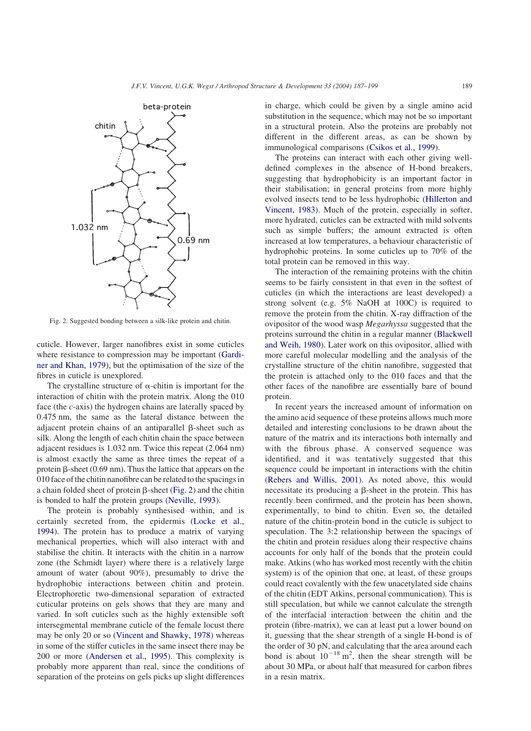

Fig. 2. Suggested bonding between a silk-like protein and chitin.

cuticle. However, larger nanofibres exist in some cuticles where resistance to compression may be important ([Gardi](#page-11-0)[ner and Khan, 1979](#page-11-0)), but the optimisation of the size of the fibres in cuticle is unexplored.

The crystalline structure of  $\alpha$ -chitin is important for the interaction of chitin with the protein matrix. Along the 010 face (the c-axis) the hydrogen chains are laterally spaced by 0.475 nm, the same as the lateral distance between the adjacent protein chains of an antiparallel  $\beta$ -sheet such as silk. Along the length of each chitin chain the space between adjacent residues is 1.032 nm. Twice this repeat (2.064 nm) is almost exactly the same as three times the repeat of a protein  $\beta$ -sheet (0.69 nm). Thus the lattice that appears on the 010 face of the chitin nanofibre can be related to the spacings in a chain folded sheet of protein  $\beta$ -sheet (Fig. 2) and the chitin is bonded to half the protein groups [\(Neville, 1993\)](#page-11-0).

The protein is probably synthesised within, and is certainly secreted from, the epidermis [\(Locke et al.,](#page-11-0) [1994](#page-11-0)). The protein has to produce a matrix of varying mechanical properties, which will also interact with and stabilise the chitin. It interacts with the chitin in a narrow zone (the Schmidt layer) where there is a relatively large amount of water (about 90%), presumably to drive the hydrophobic interactions between chitin and protein. Electrophoretic two-dimensional separation of extracted cuticular proteins on gels shows that they are many and varied. In soft cuticles such as the highly extensible soft intersegmental membrane cuticle of the female locust there may be only 20 or so ([Vincent and Shawky, 1978\)](#page-12-0) whereas in some of the stiffer cuticles in the same insect there may be 200 or more ([Andersen et al., 1995](#page-11-0)). This complexity is probably more apparent than real, since the conditions of separation of the proteins on gels picks up slight differences

in charge, which could be given by a single amino acid substitution in the sequence, which may not be so important in a structural protein. Also the proteins are probably not different in the different areas, as can be shown by immunological comparisons [\(Csikos et al., 1999\)](#page-11-0).

The proteins can interact with each other giving welldefined complexes in the absence of H-bond breakers, suggesting that hydrophobicity is an important factor in their stabilisation; in general proteins from more highly evolved insects tend to be less hydrophobic ([Hillerton and](#page-11-0) [Vincent, 1983\)](#page-11-0). Much of the protein, especially in softer, more hydrated, cuticles can be extracted with mild solvents such as simple buffers; the amount extracted is often increased at low temperatures, a behaviour characteristic of hydrophobic proteins. In some cuticles up to 70% of the total protein can be removed in this way.

The interaction of the remaining proteins with the chitin seems to be fairly consistent in that even in the softest of cuticles (in which the interactions are least developed) a strong solvent (e.g. 5% NaOH at 100C) is required to remove the protein from the chitin. X-ray diffraction of the ovipositor of the wood wasp Megarhyssa suggested that the proteins surround the chitin in a regular manner ([Blackwell](#page-11-0) [and Weih, 1980\)](#page-11-0). Later work on this ovipositor, allied with more careful molecular modelling and the analysis of the crystalline structure of the chitin nanofibre, suggested that the protein is attached only to the 010 faces and that the other faces of the nanofibre are essentially bare of bound protein.

In recent years the increased amount of information on the amino acid sequence of these proteins allows much more detailed and interesting conclusions to be drawn about the nature of the matrix and its interactions both internally and with the fibrous phase. A conserved sequence was identified, and it was tentatively suggested that this sequence could be important in interactions with the chitin ([Rebers and Willis, 2001\)](#page-12-0). As noted above, this would necessitate its producing a  $\beta$ -sheet in the protein. This has recently been confirmed, and the protein has been shown, experimentally, to bind to chitin. Even so, the detailed nature of the chitin-protein bond in the cuticle is subject to speculation. The 3:2 relationship between the spacings of the chitin and protein residues along their respective chains accounts for only half of the bonds that the protein could make. Atkins (who has worked most recently with the chitin system) is of the opinion that one, at least, of these groups could react covalently with the few unacetylated side chains of the chitin (EDT Atkins, personal communication). This is still speculation, but while we cannot calculate the strength of the interfacial interaction between the chitin and the protein (fibre-matrix), we can at least put a lower bound on it, guessing that the shear strength of a single H-bond is of the order of 30 pN, and calculating that the area around each bond is about  $10^{-18}$  m<sup>2</sup>, then the shear strength will be about 30 MPa, or about half that measured for carbon fibres in a resin matrix.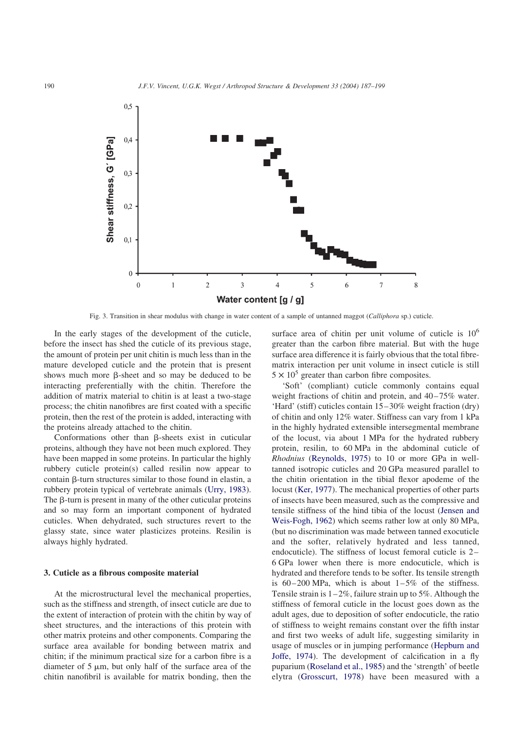<span id="page-3-0"></span>

Fig. 3. Transition in shear modulus with change in water content of a sample of untanned maggot (Calliphora sp.) cuticle.

In the early stages of the development of the cuticle, before the insect has shed the cuticle of its previous stage, the amount of protein per unit chitin is much less than in the mature developed cuticle and the protein that is present shows much more  $\beta$ -sheet and so may be deduced to be interacting preferentially with the chitin. Therefore the addition of matrix material to chitin is at least a two-stage process; the chitin nanofibres are first coated with a specific protein, then the rest of the protein is added, interacting with the proteins already attached to the chitin.

Conformations other than  $\beta$ -sheets exist in cuticular proteins, although they have not been much explored. They have been mapped in some proteins. In particular the highly rubbery cuticle protein(s) called resilin now appear to contain  $\beta$ -turn structures similar to those found in elastin, a rubbery protein typical of vertebrate animals [\(Urry, 1983\)](#page-12-0). The B-turn is present in many of the other cuticular proteins and so may form an important component of hydrated cuticles. When dehydrated, such structures revert to the glassy state, since water plasticizes proteins. Resilin is always highly hydrated.

### 3. Cuticle as a fibrous composite material

At the microstructural level the mechanical properties, such as the stiffness and strength, of insect cuticle are due to the extent of interaction of protein with the chitin by way of sheet structures, and the interactions of this protein with other matrix proteins and other components. Comparing the surface area available for bonding between matrix and chitin; if the minimum practical size for a carbon fibre is a diameter of  $5 \mu m$ , but only half of the surface area of the chitin nanofibril is available for matrix bonding, then the

surface area of chitin per unit volume of cuticle is  $10<sup>6</sup>$ greater than the carbon fibre material. But with the huge surface area difference it is fairly obvious that the total fibrematrix interaction per unit volume in insect cuticle is still  $5 \times 10^5$  greater than carbon fibre composites.

'Soft' (compliant) cuticle commonly contains equal weight fractions of chitin and protein, and 40–75% water. 'Hard' (stiff) cuticles contain 15 – 30% weight fraction (dry) of chitin and only 12% water. Stiffness can vary from 1 kPa in the highly hydrated extensible intersegmental membrane of the locust, via about 1 MPa for the hydrated rubbery protein, resilin, to 60 MPa in the abdominal cuticle of Rhodnius [\(Reynolds, 1975](#page-12-0)) to 10 or more GPa in welltanned isotropic cuticles and 20 GPa measured parallel to the chitin orientation in the tibial flexor apodeme of the locust [\(Ker, 1977](#page-11-0)). The mechanical properties of other parts of insects have been measured, such as the compressive and tensile stiffness of the hind tibia of the locust [\(Jensen and](#page-11-0) [Weis-Fogh, 1962](#page-11-0)) which seems rather low at only 80 MPa, (but no discrimination was made between tanned exocuticle and the softer, relatively hydrated and less tanned, endocuticle). The stiffness of locust femoral cuticle is 2– 6 GPa lower when there is more endocuticle, which is hydrated and therefore tends to be softer. Its tensile strength is  $60 - 200$  MPa, which is about  $1 - 5\%$  of the stiffness. Tensile strain is  $1-2\%$ , failure strain up to 5%. Although the stiffness of femoral cuticle in the locust goes down as the adult ages, due to deposition of softer endocuticle, the ratio of stiffness to weight remains constant over the fifth instar and first two weeks of adult life, suggesting similarity in usage of muscles or in jumping performance [\(Hepburn and](#page-11-0) [Joffe, 1974](#page-11-0)). The development of calcification in a fly puparium ([Roseland et al., 1985\)](#page-12-0) and the 'strength' of beetle elytra ([Grosscurt, 1978](#page-11-0)) have been measured with a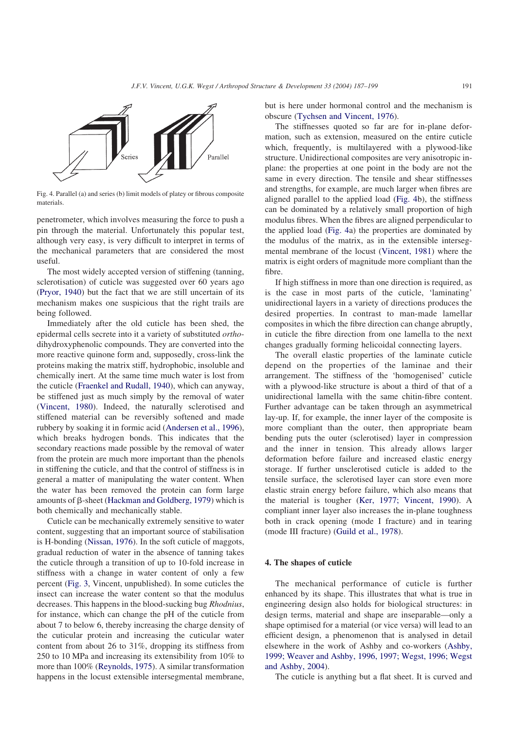

Fig. 4. Parallel (a) and series (b) limit models of platey or fibrous composite materials.

penetrometer, which involves measuring the force to push a pin through the material. Unfortunately this popular test, although very easy, is very difficult to interpret in terms of the mechanical parameters that are considered the most useful.

The most widely accepted version of stiffening (tanning, sclerotisation) of cuticle was suggested over 60 years ago ([Pryor, 1940\)](#page-11-0) but the fact that we are still uncertain of its mechanism makes one suspicious that the right trails are being followed.

Immediately after the old cuticle has been shed, the epidermal cells secrete into it a variety of substituted orthodihydroxyphenolic compounds. They are converted into the more reactive quinone form and, supposedly, cross-link the proteins making the matrix stiff, hydrophobic, insoluble and chemically inert. At the same time much water is lost from the cuticle [\(Fraenkel and Rudall, 1940](#page-11-0)), which can anyway, be stiffened just as much simply by the removal of water ([Vincent, 1980](#page-12-0)). Indeed, the naturally sclerotised and stiffened material can be reversibly softened and made rubbery by soaking it in formic acid [\(Andersen et al., 1996\)](#page-11-0), which breaks hydrogen bonds. This indicates that the secondary reactions made possible by the removal of water from the protein are much more important than the phenols in stiffening the cuticle, and that the control of stiffness is in general a matter of manipulating the water content. When the water has been removed the protein can form large amounts of  $\beta$ -sheet [\(Hackman and Goldberg, 1979](#page-11-0)) which is both chemically and mechanically stable.

Cuticle can be mechanically extremely sensitive to water content, suggesting that an important source of stabilisation is H-bonding ([Nissan, 1976](#page-11-0)). In the soft cuticle of maggots, gradual reduction of water in the absence of tanning takes the cuticle through a transition of up to 10-fold increase in stiffness with a change in water content of only a few percent [\(Fig. 3,](#page-3-0) Vincent, unpublished). In some cuticles the insect can increase the water content so that the modulus decreases. This happens in the blood-sucking bug *Rhodnius*, for instance, which can change the pH of the cuticle from about 7 to below 6, thereby increasing the charge density of the cuticular protein and increasing the cuticular water content from about 26 to 31%, dropping its stiffness from 250 to 10 MPa and increasing its extensibility from 10% to more than 100% [\(Reynolds, 1975\)](#page-12-0). A similar transformation happens in the locust extensible intersegmental membrane,

but is here under hormonal control and the mechanism is obscure ([Tychsen and Vincent, 1976](#page-12-0)).

The stiffnesses quoted so far are for in-plane deformation, such as extension, measured on the entire cuticle which, frequently, is multilayered with a plywood-like structure. Unidirectional composites are very anisotropic inplane: the properties at one point in the body are not the same in every direction. The tensile and shear stiffnesses and strengths, for example, are much larger when fibres are aligned parallel to the applied load (Fig. 4b), the stiffness can be dominated by a relatively small proportion of high modulus fibres. When the fibres are aligned perpendicular to the applied load (Fig. 4a) the properties are dominated by the modulus of the matrix, as in the extensible intersegmental membrane of the locust [\(Vincent, 1981\)](#page-12-0) where the matrix is eight orders of magnitude more compliant than the fibre.

If high stiffness in more than one direction is required, as is the case in most parts of the cuticle, 'laminating' unidirectional layers in a variety of directions produces the desired properties. In contrast to man-made lamellar composites in which the fibre direction can change abruptly, in cuticle the fibre direction from one lamella to the next changes gradually forming helicoidal connecting layers.

The overall elastic properties of the laminate cuticle depend on the properties of the laminae and their arrangement. The stiffness of the 'homogenised' cuticle with a plywood-like structure is about a third of that of a unidirectional lamella with the same chitin-fibre content. Further advantage can be taken through an asymmetrical lay-up. If, for example, the inner layer of the composite is more compliant than the outer, then appropriate beam bending puts the outer (sclerotised) layer in compression and the inner in tension. This already allows larger deformation before failure and increased elastic energy storage. If further unsclerotised cuticle is added to the tensile surface, the sclerotised layer can store even more elastic strain energy before failure, which also means that the material is tougher [\(Ker, 1977; Vincent, 1990\)](#page-11-0). A compliant inner layer also increases the in-plane toughness both in crack opening (mode I fracture) and in tearing (mode III fracture) ([Guild et al., 1978](#page-11-0)).

#### 4. The shapes of cuticle

The mechanical performance of cuticle is further enhanced by its shape. This illustrates that what is true in engineering design also holds for biological structures: in design terms, material and shape are inseparable—only a shape optimised for a material (or vice versa) will lead to an efficient design, a phenomenon that is analysed in detail elsewhere in the work of Ashby and co-workers [\(Ashby,](#page-11-0) [1999; Weaver and Ashby, 1996, 1997; Wegst, 1996; Wegst](#page-11-0) [and Ashby, 2004](#page-11-0)).

The cuticle is anything but a flat sheet. It is curved and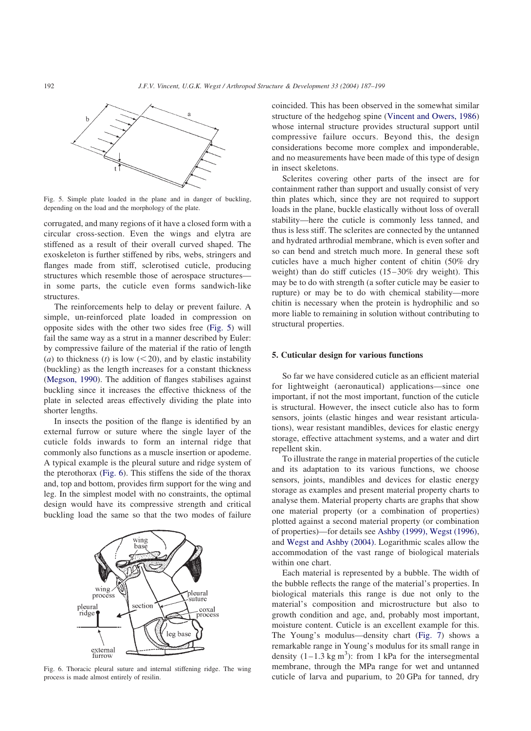

Fig. 5. Simple plate loaded in the plane and in danger of buckling, depending on the load and the morphology of the plate.

corrugated, and many regions of it have a closed form with a circular cross-section. Even the wings and elytra are stiffened as a result of their overall curved shaped. The exoskeleton is further stiffened by ribs, webs, stringers and flanges made from stiff, sclerotised cuticle, producing structures which resemble those of aerospace structures in some parts, the cuticle even forms sandwich-like structures.

The reinforcements help to delay or prevent failure. A simple, un-reinforced plate loaded in compression on opposite sides with the other two sides free (Fig. 5) will fail the same way as a strut in a manner described by Euler: by compressive failure of the material if the ratio of length (a) to thickness (t) is low  $(< 20$ ), and by elastic instability (buckling) as the length increases for a constant thickness ([Megson, 1990](#page-11-0)). The addition of flanges stabilises against buckling since it increases the effective thickness of the plate in selected areas effectively dividing the plate into shorter lengths.

In insects the position of the flange is identified by an external furrow or suture where the single layer of the cuticle folds inwards to form an internal ridge that commonly also functions as a muscle insertion or apodeme. A typical example is the pleural suture and ridge system of the pterothorax (Fig. 6). This stiffens the side of the thorax and, top and bottom, provides firm support for the wing and leg. In the simplest model with no constraints, the optimal design would have its compressive strength and critical buckling load the same so that the two modes of failure



Fig. 6. Thoracic pleural suture and internal stiffening ridge. The wing process is made almost entirely of resilin.

coincided. This has been observed in the somewhat similar structure of the hedgehog spine [\(Vincent and Owers, 1986](#page-12-0)) whose internal structure provides structural support until compressive failure occurs. Beyond this, the design considerations become more complex and imponderable, and no measurements have been made of this type of design in insect skeletons.

Sclerites covering other parts of the insect are for containment rather than support and usually consist of very thin plates which, since they are not required to support loads in the plane, buckle elastically without loss of overall stability—here the cuticle is commonly less tanned, and thus is less stiff. The sclerites are connected by the untanned and hydrated arthrodial membrane, which is even softer and so can bend and stretch much more. In general these soft cuticles have a much higher content of chitin (50% dry weight) than do stiff cuticles  $(15-30\%$  dry weight). This may be to do with strength (a softer cuticle may be easier to rupture) or may be to do with chemical stability—more chitin is necessary when the protein is hydrophilic and so more liable to remaining in solution without contributing to structural properties.

#### 5. Cuticular design for various functions

So far we have considered cuticle as an efficient material for lightweight (aeronautical) applications—since one important, if not the most important, function of the cuticle is structural. However, the insect cuticle also has to form sensors, joints (elastic hinges and wear resistant articulations), wear resistant mandibles, devices for elastic energy storage, effective attachment systems, and a water and dirt repellent skin.

To illustrate the range in material properties of the cuticle and its adaptation to its various functions, we choose sensors, joints, mandibles and devices for elastic energy storage as examples and present material property charts to analyse them. Material property charts are graphs that show one material property (or a combination of properties) plotted against a second material property (or combination of properties)—for details see [Ashby \(1999\), Wegst \(1996\)](#page-11-0), and [Wegst and Ashby \(2004\)](#page-12-0). Logarithmic scales allow the accommodation of the vast range of biological materials within one chart.

Each material is represented by a bubble. The width of the bubble reflects the range of the material's properties. In biological materials this range is due not only to the material's composition and microstructure but also to growth condition and age, and, probably most important, moisture content. Cuticle is an excellent example for this. The Young's modulus—density chart ([Fig. 7\)](#page-6-0) shows a remarkable range in Young's modulus for its small range in density  $(1-1.3 \text{ kg m}^3)$ : from 1 kPa for the intersegmental membrane, through the MPa range for wet and untanned cuticle of larva and puparium, to 20 GPa for tanned, dry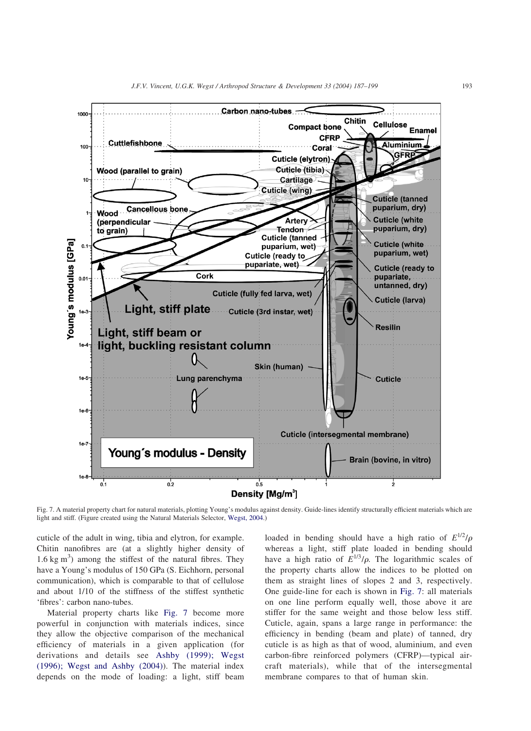<span id="page-6-0"></span>

Fig. 7. A material property chart for natural materials, plotting Young's modulus against density. Guide-lines identify structurally efficient materials which are light and stiff. (Figure created using the Natural Materials Selector, [Wegst, 2004](#page-12-0).)

cuticle of the adult in wing, tibia and elytron, for example. Chitin nanofibres are (at a slightly higher density of  $1.6 \text{ kg m}^3$ ) among the stiffest of the natural fibres. They have a Young's modulus of 150 GPa (S. Eichhorn, personal communication), which is comparable to that of cellulose and about 1/10 of the stiffness of the stiffest synthetic 'fibres': carbon nano-tubes.

Material property charts like Fig. 7 become more powerful in conjunction with materials indices, since they allow the objective comparison of the mechanical efficiency of materials in a given application (for derivations and details see [Ashby \(1999\); Wegst](#page-11-0) [\(1996\); Wegst and Ashby \(2004\)\)](#page-11-0). The material index depends on the mode of loading: a light, stiff beam

loaded in bending should have a high ratio of  $E^{1/2}/\rho$ whereas a light, stiff plate loaded in bending should have a high ratio of  $E^{1/3}/\rho$ . The logarithmic scales of the property charts allow the indices to be plotted on them as straight lines of slopes 2 and 3, respectively. One guide-line for each is shown in Fig. 7: all materials on one line perform equally well, those above it are stiffer for the same weight and those below less stiff. Cuticle, again, spans a large range in performance: the efficiency in bending (beam and plate) of tanned, dry cuticle is as high as that of wood, aluminium, and even carbon-fibre reinforced polymers (CFRP)—typical aircraft materials), while that of the intersegmental membrane compares to that of human skin.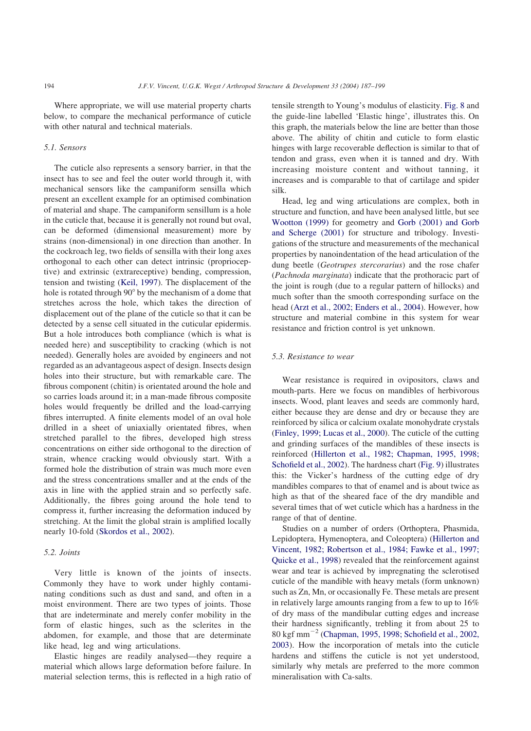Where appropriate, we will use material property charts below, to compare the mechanical performance of cuticle with other natural and technical materials.

## 5.1. Sensors

The cuticle also represents a sensory barrier, in that the insect has to see and feel the outer world through it, with mechanical sensors like the campaniform sensilla which present an excellent example for an optimised combination of material and shape. The campaniform sensillum is a hole in the cuticle that, because it is generally not round but oval, can be deformed (dimensional measurement) more by strains (non-dimensional) in one direction than another. In the cockroach leg, two fields of sensilla with their long axes orthogonal to each other can detect intrinsic (proprioceptive) and extrinsic (extrareceptive) bending, compression, tension and twisting [\(Keil, 1997](#page-11-0)). The displacement of the hole is rotated through  $90^{\circ}$  by the mechanism of a dome that stretches across the hole, which takes the direction of displacement out of the plane of the cuticle so that it can be detected by a sense cell situated in the cuticular epidermis. But a hole introduces both compliance (which is what is needed here) and susceptibility to cracking (which is not needed). Generally holes are avoided by engineers and not regarded as an advantageous aspect of design. Insects design holes into their structure, but with remarkable care. The fibrous component (chitin) is orientated around the hole and so carries loads around it; in a man-made fibrous composite holes would frequently be drilled and the load-carrying fibres interrupted. A finite elements model of an oval hole drilled in a sheet of uniaxially orientated fibres, when stretched parallel to the fibres, developed high stress concentrations on either side orthogonal to the direction of strain, whence cracking would obviously start. With a formed hole the distribution of strain was much more even and the stress concentrations smaller and at the ends of the axis in line with the applied strain and so perfectly safe. Additionally, the fibres going around the hole tend to compress it, further increasing the deformation induced by stretching. At the limit the global strain is amplified locally nearly 10-fold [\(Skordos et al., 2002\)](#page-12-0).

#### 5.2. Joints

Very little is known of the joints of insects. Commonly they have to work under highly contaminating conditions such as dust and sand, and often in a moist environment. There are two types of joints. Those that are indeterminate and merely confer mobility in the form of elastic hinges, such as the sclerites in the abdomen, for example, and those that are determinate like head, leg and wing articulations.

Elastic hinges are readily analysed—they require a material which allows large deformation before failure. In material selection terms, this is reflected in a high ratio of

tensile strength to Young's modulus of elasticity. [Fig. 8](#page-8-0) and the guide-line labelled 'Elastic hinge', illustrates this. On this graph, the materials below the line are better than those above. The ability of chitin and cuticle to form elastic hinges with large recoverable deflection is similar to that of tendon and grass, even when it is tanned and dry. With increasing moisture content and without tanning, it increases and is comparable to that of cartilage and spider silk.

Head, leg and wing articulations are complex, both in structure and function, and have been analysed little, but see [Wootton \(1999\)](#page-12-0) for geometry and [Gorb \(2001\) and Gorb](#page-11-0) [and Scherge \(2001\)](#page-11-0) for structure and tribology. Investigations of the structure and measurements of the mechanical properties by nanoindentation of the head articulation of the dung beetle (Geotrupes stercorarius) and the rose chafer (Pachnoda marginata) indicate that the prothoracic part of the joint is rough (due to a regular pattern of hillocks) and much softer than the smooth corresponding surface on the head ([Arzt et al., 2002; Enders et al., 2004](#page-11-0)). However, how structure and material combine in this system for wear resistance and friction control is yet unknown.

## 5.3. Resistance to wear

Wear resistance is required in ovipositors, claws and mouth-parts. Here we focus on mandibles of herbivorous insects. Wood, plant leaves and seeds are commonly hard, either because they are dense and dry or because they are reinforced by silica or calcium oxalate monohydrate crystals ([Finley, 1999; Lucas et al., 2000\)](#page-11-0). The cuticle of the cutting and grinding surfaces of the mandibles of these insects is reinforced [\(Hillerton et al., 1982; Chapman, 1995, 1998;](#page-11-0) [Schofield et al., 2002](#page-11-0)). The hardness chart [\(Fig. 9](#page-9-0)) illustrates this: the Vicker's hardness of the cutting edge of dry mandibles compares to that of enamel and is about twice as high as that of the sheared face of the dry mandible and several times that of wet cuticle which has a hardness in the range of that of dentine.

Studies on a number of orders (Orthoptera, Phasmida, Lepidoptera, Hymenoptera, and Coleoptera) [\(Hillerton and](#page-11-0) [Vincent, 1982; Robertson et al., 1984; Fawke et al., 1997;](#page-11-0) [Quicke et al., 1998](#page-11-0)) revealed that the reinforcement against wear and tear is achieved by impregnating the sclerotised cuticle of the mandible with heavy metals (form unknown) such as Zn, Mn, or occasionally Fe. These metals are present in relatively large amounts ranging from a few to up to 16% of dry mass of the mandibular cutting edges and increase their hardness significantly, trebling it from about 25 to 80 kgf mm<sup> $-2$ </sup> [\(Chapman, 1995, 1998; Schofield et al., 2002,](#page-11-0) [2003\)](#page-11-0). How the incorporation of metals into the cuticle hardens and stiffens the cuticle is not yet understood, similarly why metals are preferred to the more common mineralisation with Ca-salts.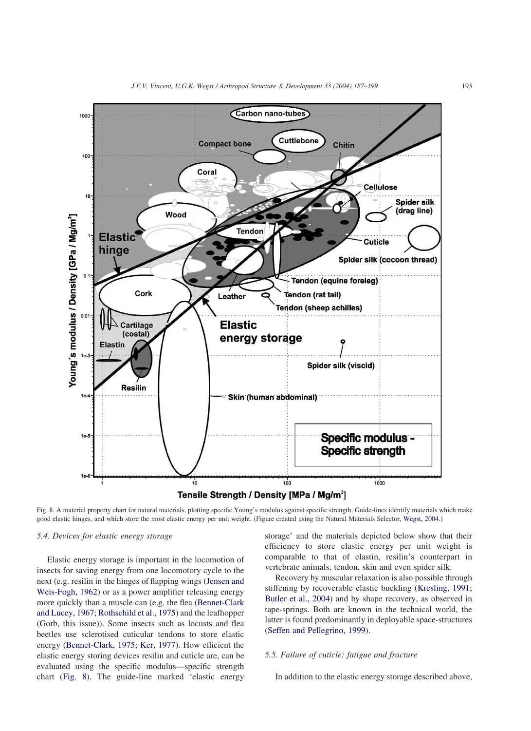<span id="page-8-0"></span>

Fig. 8. A material property chart for natural materials, plotting specific Young's modulus against specific strength. Guide-lines identify materials which make good elastic hinges, and which store the most elastic energy per unit weight. (Figure created using the Natural Materials Selector, [Wegst, 2004.](#page-12-0))

#### 5.4. Devices for elastic energy storage

Elastic energy storage is important in the locomotion of insects for saving energy from one locomotory cycle to the next (e.g. resilin in the hinges of flapping wings [\(Jensen and](#page-11-0) [Weis-Fogh, 1962](#page-11-0)) or as a power amplifier releasing energy more quickly than a muscle can (e.g. the flea ([Bennet-Clark](#page-11-0) [and Lucey, 1967; Rothschild et al., 1975\)](#page-11-0) and the leafhopper (Gorb, this issue)). Some insects such as locusts and flea beetles use sclerotised cuticular tendons to store elastic energy [\(Bennet-Clark, 1975; Ker, 1977](#page-11-0)). How efficient the elastic energy storing devices resilin and cuticle are, can be evaluated using the specific modulus—specific strength chart (Fig. 8). The guide-line marked 'elastic energy

storage' and the materials depicted below show that their efficiency to store elastic energy per unit weight is comparable to that of elastin, resilin's counterpart in vertebrate animals, tendon, skin and even spider silk.

Recovery by muscular relaxation is also possible through stiffening by recoverable elastic buckling [\(Kresling, 1991;](#page-11-0) [Butler et al., 2004](#page-11-0)) and by shape recovery, as observed in tape-springs. Both are known in the technical world, the latter is found predominantly in deployable space-structures ([Seffen and Pellegrino, 1999\)](#page-12-0).

## 5.5. Failure of cuticle: fatigue and fracture

In addition to the elastic energy storage described above,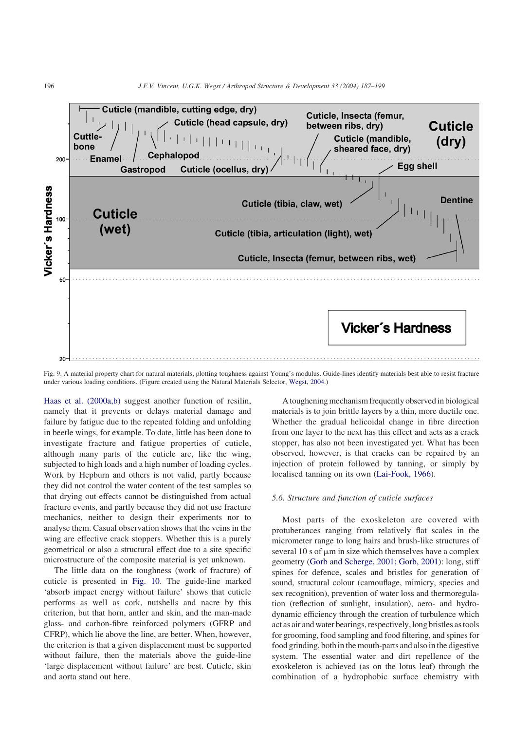

Fig. 9. A material property chart for natural materials, plotting toughness against Young's modulus. Guide-lines identify materials best able to resist fracture under various loading conditions. (Figure created using the Natural Materials Selector, [Wegst, 2004.](#page-12-0))

[Haas et al. \(2000a,b\)](#page-11-0) suggest another function of resilin, namely that it prevents or delays material damage and failure by fatigue due to the repeated folding and unfolding in beetle wings, for example. To date, little has been done to investigate fracture and fatigue properties of cuticle, although many parts of the cuticle are, like the wing, subjected to high loads and a high number of loading cycles. Work by Hepburn and others is not valid, partly because they did not control the water content of the test samples so that drying out effects cannot be distinguished from actual fracture events, and partly because they did not use fracture mechanics, neither to design their experiments nor to analyse them. Casual observation shows that the veins in the wing are effective crack stoppers. Whether this is a purely geometrical or also a structural effect due to a site specific microstructure of the composite material is yet unknown.

The little data on the toughness (work of fracture) of cuticle is presented in [Fig. 10](#page-10-0). The guide-line marked 'absorb impact energy without failure' shows that cuticle performs as well as cork, nutshells and nacre by this criterion, but that horn, antler and skin, and the man-made glass- and carbon-fibre reinforced polymers (GFRP and CFRP), which lie above the line, are better. When, however, the criterion is that a given displacement must be supported without failure, then the materials above the guide-line 'large displacement without failure' are best. Cuticle, skin and aorta stand out here.

A toughening mechanism frequently observedin biological materials is to join brittle layers by a thin, more ductile one. Whether the gradual helicoidal change in fibre direction from one layer to the next has this effect and acts as a crack stopper, has also not been investigated yet. What has been observed, however, is that cracks can be repaired by an injection of protein followed by tanning, or simply by localised tanning on its own [\(Lai-Fook, 1966\)](#page-11-0).

# 5.6. Structure and function of cuticle surfaces

Most parts of the exoskeleton are covered with protuberances ranging from relatively flat scales in the micrometer range to long hairs and brush-like structures of several 10 s of  $\mu$ m in size which themselves have a complex geometry [\(Gorb and Scherge, 2001; Gorb, 2001\)](#page-11-0): long, stiff spines for defence, scales and bristles for generation of sound, structural colour (camouflage, mimicry, species and sex recognition), prevention of water loss and thermoregulation (reflection of sunlight, insulation), aero- and hydrodynamic efficiency through the creation of turbulence which act as air and water bearings, respectively,long bristles astools for grooming, food sampling and food filtering, and spines for food grinding, both in the mouth-parts and also in the digestive system. The essential water and dirt repellence of the exoskeleton is achieved (as on the lotus leaf) through the combination of a hydrophobic surface chemistry with

<span id="page-9-0"></span>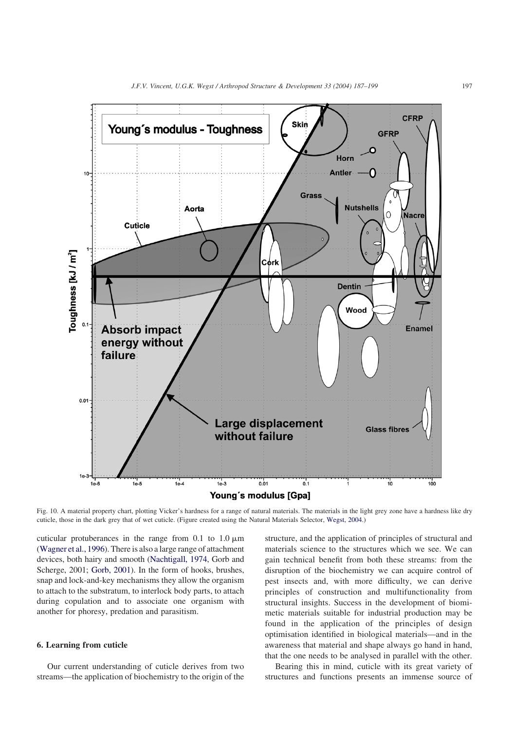<span id="page-10-0"></span>

Fig. 10. A material property chart, plotting Vicker's hardness for a range of natural materials. The materials in the light grey zone have a hardness like dry cuticle, those in the dark grey that of wet cuticle. (Figure created using the Natural Materials Selector, [Wegst, 2004](#page-12-0).)

cuticular protuberances in the range from 0.1 to  $1.0 \mu m$ ([Wagner et al., 1996](#page-12-0)). There is also a large range of attachment devices, both hairy and smooth [\(Nachtigall, 1974,](#page-11-0) Gorb and Scherge, 2001; [Gorb, 2001\)](#page-11-0). In the form of hooks, brushes, snap and lock-and-key mechanisms they allow the organism to attach to the substratum, to interlock body parts, to attach during copulation and to associate one organism with another for phoresy, predation and parasitism.

# 6. Learning from cuticle

Our current understanding of cuticle derives from two streams—the application of biochemistry to the origin of the

structure, and the application of principles of structural and materials science to the structures which we see. We can gain technical benefit from both these streams: from the disruption of the biochemistry we can acquire control of pest insects and, with more difficulty, we can derive principles of construction and multifunctionality from structural insights. Success in the development of biomimetic materials suitable for industrial production may be found in the application of the principles of design optimisation identified in biological materials—and in the awareness that material and shape always go hand in hand, that the one needs to be analysed in parallel with the other.

Bearing this in mind, cuticle with its great variety of structures and functions presents an immense source of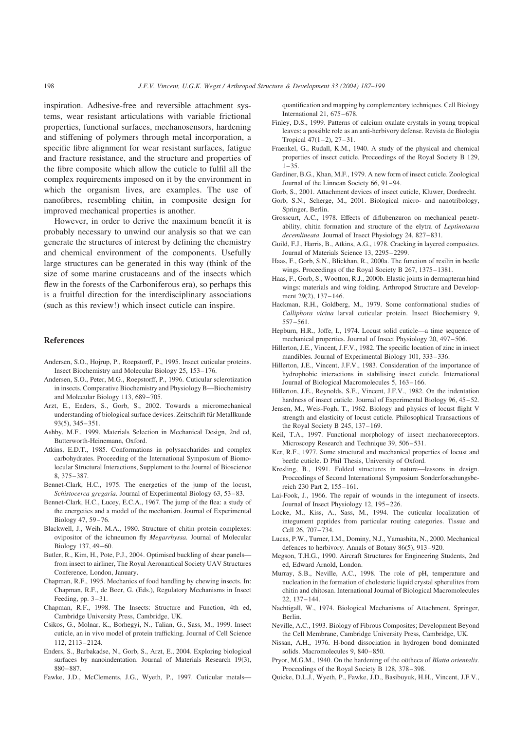<span id="page-11-0"></span>inspiration. Adhesive-free and reversible attachment systems, wear resistant articulations with variable frictional properties, functional surfaces, mechanosensors, hardening and stiffening of polymers through metal incorporation, a specific fibre alignment for wear resistant surfaces, fatigue and fracture resistance, and the structure and properties of the fibre composite which allow the cuticle to fulfil all the complex requirements imposed on it by the environment in which the organism lives, are examples. The use of nanofibres, resembling chitin, in composite design for improved mechanical properties is another.

However, in order to derive the maximum benefit it is probably necessary to unwind our analysis so that we can generate the structures of interest by defining the chemistry and chemical environment of the components. Usefully large structures can be generated in this way (think of the size of some marine crustaceans and of the insects which flew in the forests of the Carboniferous era), so perhaps this is a fruitful direction for the interdisciplinary associations (such as this review!) which insect cuticle can inspire.

#### References

- Andersen, S.O., Hojrup, P., Roepstorff, P., 1995. Insect cuticular proteins. Insect Biochemistry and Molecular Biology 25, 153–176.
- Andersen, S.O., Peter, M.G., Roepstorff, P., 1996. Cuticular sclerotization in insects. Comparative Biochemistry and Physiology B—Biochemistry and Molecular Biology 113, 689–705.
- Arzt, E., Enders, S., Gorb, S., 2002. Towards a micromechanical understanding of biological surface devices. Zeitschrift für Metallkunde 93(5), 345– 351.
- Ashby, M.F., 1999. Materials Selection in Mechanical Design, 2nd ed, Butterworth-Heinemann, Oxford.
- Atkins, E.D.T., 1985. Conformations in polysaccharides and complex carbohydrates. Proceeding of the International Symposium of Biomolecular Structural Interactions, Supplement to the Journal of Bioscience 8, 375 –387.
- Bennet-Clark, H.C., 1975. The energetics of the jump of the locust, Schistocerca gregaria. Journal of Experimental Biology 63, 53–83.
- Bennet-Clark, H.C., Lucey, E.C.A., 1967. The jump of the flea: a study of the energetics and a model of the mechanism. Journal of Experimental Biology 47, 59-76.
- Blackwell, J., Weih, M.A., 1980. Structure of chitin protein complexes: ovipositor of the ichneumon fly Megarrhyssa. Journal of Molecular Biology 137, 49-60.
- Butler, R., Kim, H., Pote, P.J., 2004. Optimised buckling of shear panels from insect to airliner, The Royal Aeronautical Society UAV Structures Conference, London, January.
- Chapman, R.F., 1995. Mechanics of food handling by chewing insects. In: Chapman, R.F., de Boer, G. (Eds.), Regulatory Mechanisms in Insect Feeding, pp.  $3-31$ .
- Chapman, R.F., 1998. The Insects: Structure and Function, 4th ed, Cambridge University Press, Cambridge, UK.
- Csikos, G., Molnar, K., Borhegyi, N., Talian, G., Sass, M., 1999. Insect cuticle, an in vivo model of protein trafficking. Journal of Cell Science 112, 2113–2124.
- Enders, S., Barbakadse, N., Gorb, S., Arzt, E., 2004. Exploring biological surfaces by nanoindentation. Journal of Materials Research 19(3), 880– 887.
- Fawke, J.D., McClements, J.G., Wyeth, P., 1997. Cuticular metals—

quantification and mapping by complementary techniques. Cell Biology International 21, 675–678.

- Finley, D.S., 1999. Patterns of calcium oxalate crystals in young tropical leaves: a possible role as an anti-herbivory defense. Revista de Biologia Tropical  $47(1-2)$ ,  $27-31$ .
- Fraenkel, G., Rudall, K.M., 1940. A study of the physical and chemical properties of insect cuticle. Proceedings of the Royal Society B 129,  $1 - 35.$
- Gardiner, B.G., Khan, M.F., 1979. A new form of insect cuticle. Zoological Journal of the Linnean Society 66, 91 –94.
- Gorb, S., 2001. Attachment devices of insect cuticle, Kluwer, Dordrecht.
- Gorb, S.N., Scherge, M., 2001. Biological micro- and nanotribology, Springer, Berlin.
- Grosscurt, A.C., 1978. Effects of diflubenzuron on mechanical penetrability, chitin formation and structure of the elytra of Leptinotarsa decemlineata. Journal of Insect Physiology 24, 827–831.
- Guild, F.J., Harris, B., Atkins, A.G., 1978. Cracking in layered composites. Journal of Materials Science 13, 2295–2299.
- Haas, F., Gorb, S.N., Blickhan, R., 2000a. The function of resilin in beetle wings. Proceedings of the Royal Society B 267, 1375–1381.
- Haas, F., Gorb, S., Wootton, R.J., 2000b. Elastic joints in dermapteran hind wings: materials and wing folding. Arthropod Structure and Development 29(2), 137-146.
- Hackman, R.H., Goldberg, M., 1979. Some conformational studies of Calliphora vicina larval cuticular protein. Insect Biochemistry 9,  $557 - 561$ .
- Hepburn, H.R., Joffe, I., 1974. Locust solid cuticle—a time sequence of mechanical properties. Journal of Insect Physiology 20, 497 –506.
- Hillerton, J.E., Vincent, J.F.V., 1982. The specific location of zinc in insect mandibles. Journal of Experimental Biology 101, 333– 336.
- Hillerton, J.E., Vincent, J.F.V., 1983. Consideration of the importance of hydrophobic interactions in stabilising insect cuticle. International Journal of Biological Macromolecules 5, 163–166.
- Hillerton, J.E., Reynolds, S.E., Vincent, J.F.V., 1982. On the indentation hardness of insect cuticle. Journal of Experimental Biology 96, 45–52.
- Jensen, M., Weis-Fogh, T., 1962. Biology and physics of locust flight V strength and elasticity of locust cuticle. Philosophical Transactions of the Royal Society B 245, 137– 169.
- Keil, T.A., 1997. Functional morphology of insect mechanoreceptors. Microscopy Research and Technique 39, 506–531.
- Ker, R.F., 1977. Some structural and mechanical properties of locust and beetle cuticle. D Phil Thesis, University of Oxford.
- Kresling, B., 1991. Folded structures in nature—lessons in design. Proceedings of Second International Symposium Sonderforschungsbereich 230 Part 2, 155–161.
- Lai-Fook, J., 1966. The repair of wounds in the integument of insects. Journal of Insect Physiology 12, 195-226.
- Locke, M., Kiss, A., Sass, M., 1994. The cuticular localization of integument peptides from particular routing categories. Tissue and Cell 26, 707–734.
- Lucas, P.W., Turner, I.M., Dominy, N.J., Yamashita, N., 2000. Mechanical defences to herbivory. Annals of Botany 86(5), 913–920.
- Megson, T.H.G., 1990. Aircraft Structures for Engineering Students, 2nd ed, Edward Arnold, London.
- Murray, S.B., Neville, A.C., 1998. The role of pH, temperature and nucleation in the formation of cholesteric liquid crystal spherulites from chitin and chitosan. International Journal of Biological Macromolecules 22, 137–144.
- Nachtigall, W., 1974. Biological Mechanisms of Attachment, Springer, Berlin.
- Neville, A.C., 1993. Biology of Fibrous Composites; Development Beyond the Cell Membrane, Cambridge University Press, Cambridge, UK.
- Nissan, A.H., 1976. H-bond dissociation in hydrogen bond dominated solids. Macromolecules 9, 840–850.
- Pryor, M.G.M., 1940. On the hardening of the oötheca of Blatta orientalis. Proceedings of the Royal Society B 128, 378–398.
- Quicke, D.L.J., Wyeth, P., Fawke, J.D., Basibuyuk, H.H., Vincent, J.F.V.,